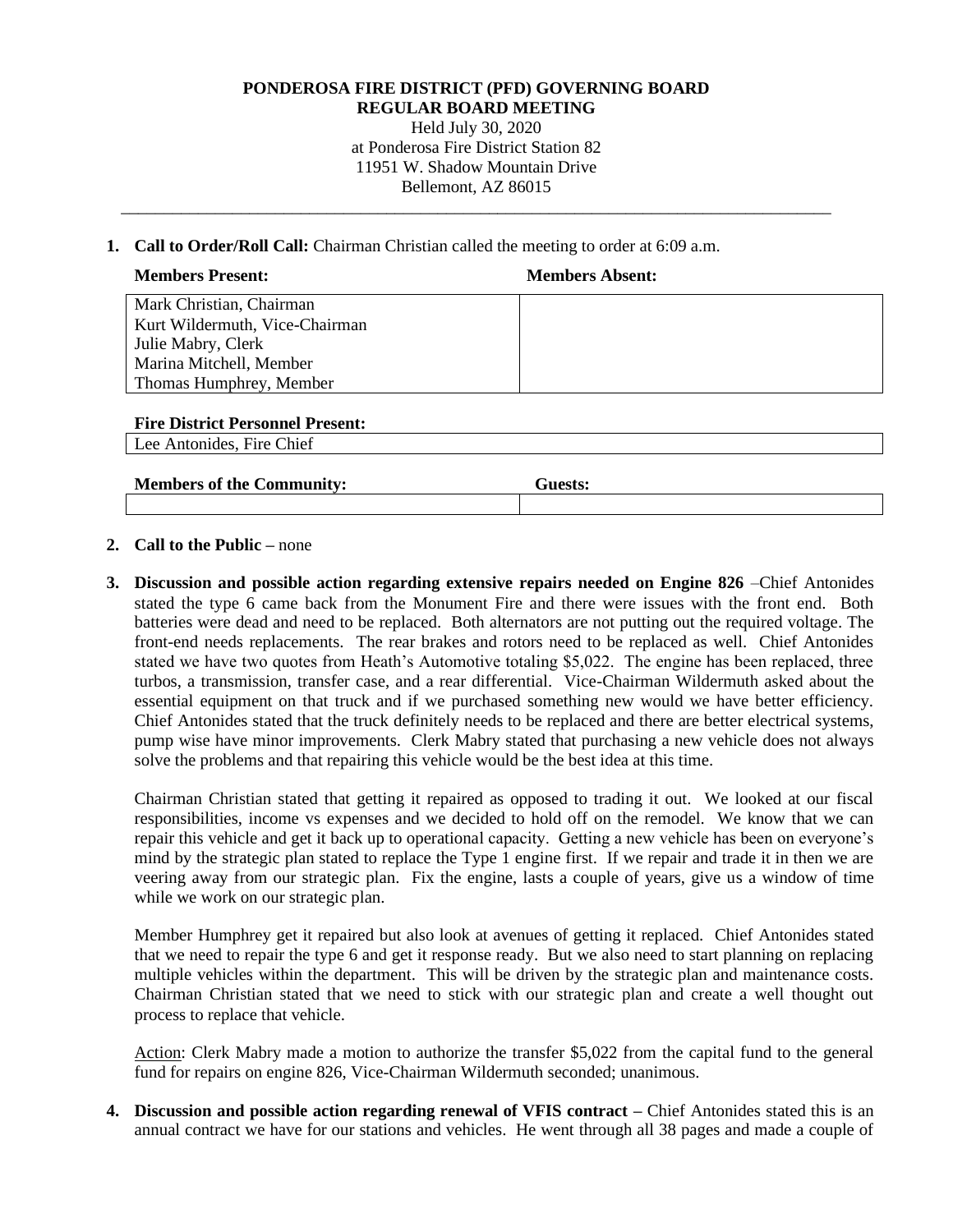## **PONDEROSA FIRE DISTRICT (PFD) GOVERNING BOARD**

**REGULAR BOARD MEETING** Held July 30, 2020

at Ponderosa Fire District Station 82 11951 W. Shadow Mountain Drive Bellemont, AZ 86015

\_\_\_\_\_\_\_\_\_\_\_\_\_\_\_\_\_\_\_\_\_\_\_\_\_\_\_\_\_\_\_\_\_\_\_\_\_\_\_\_\_\_\_\_\_\_\_\_\_\_\_\_\_\_\_\_\_\_\_\_\_\_\_\_\_\_\_\_\_\_\_\_\_\_\_\_\_\_\_\_\_\_\_

**1. Call to Order/Roll Call:** Chairman Christian called the meeting to order at 6:09 a.m.

| <b>Members Present:</b>        | <b>Members Absent:</b> |
|--------------------------------|------------------------|
| Mark Christian, Chairman       |                        |
| Kurt Wildermuth, Vice-Chairman |                        |
| Julie Mabry, Clerk             |                        |
| Marina Mitchell, Member        |                        |
| Thomas Humphrey, Member        |                        |
|                                |                        |

**Fire District Personnel Present:**

Lee Antonides, Fire Chief

| <b>Members of the Community:</b> | Guests: |
|----------------------------------|---------|
|----------------------------------|---------|

## **2. Call to the Public –** none

**3. Discussion and possible action regarding extensive repairs needed on Engine 826** –Chief Antonides stated the type 6 came back from the Monument Fire and there were issues with the front end. Both batteries were dead and need to be replaced. Both alternators are not putting out the required voltage. The front-end needs replacements. The rear brakes and rotors need to be replaced as well. Chief Antonides stated we have two quotes from Heath's Automotive totaling \$5,022. The engine has been replaced, three turbos, a transmission, transfer case, and a rear differential. Vice-Chairman Wildermuth asked about the essential equipment on that truck and if we purchased something new would we have better efficiency. Chief Antonides stated that the truck definitely needs to be replaced and there are better electrical systems, pump wise have minor improvements. Clerk Mabry stated that purchasing a new vehicle does not always solve the problems and that repairing this vehicle would be the best idea at this time.

Chairman Christian stated that getting it repaired as opposed to trading it out. We looked at our fiscal responsibilities, income vs expenses and we decided to hold off on the remodel. We know that we can repair this vehicle and get it back up to operational capacity. Getting a new vehicle has been on everyone's mind by the strategic plan stated to replace the Type 1 engine first. If we repair and trade it in then we are veering away from our strategic plan. Fix the engine, lasts a couple of years, give us a window of time while we work on our strategic plan.

Member Humphrey get it repaired but also look at avenues of getting it replaced. Chief Antonides stated that we need to repair the type 6 and get it response ready. But we also need to start planning on replacing multiple vehicles within the department. This will be driven by the strategic plan and maintenance costs. Chairman Christian stated that we need to stick with our strategic plan and create a well thought out process to replace that vehicle.

Action: Clerk Mabry made a motion to authorize the transfer \$5,022 from the capital fund to the general fund for repairs on engine 826, Vice-Chairman Wildermuth seconded; unanimous.

**4. Discussion and possible action regarding renewal of VFIS contract –** Chief Antonides stated this is an annual contract we have for our stations and vehicles. He went through all 38 pages and made a couple of